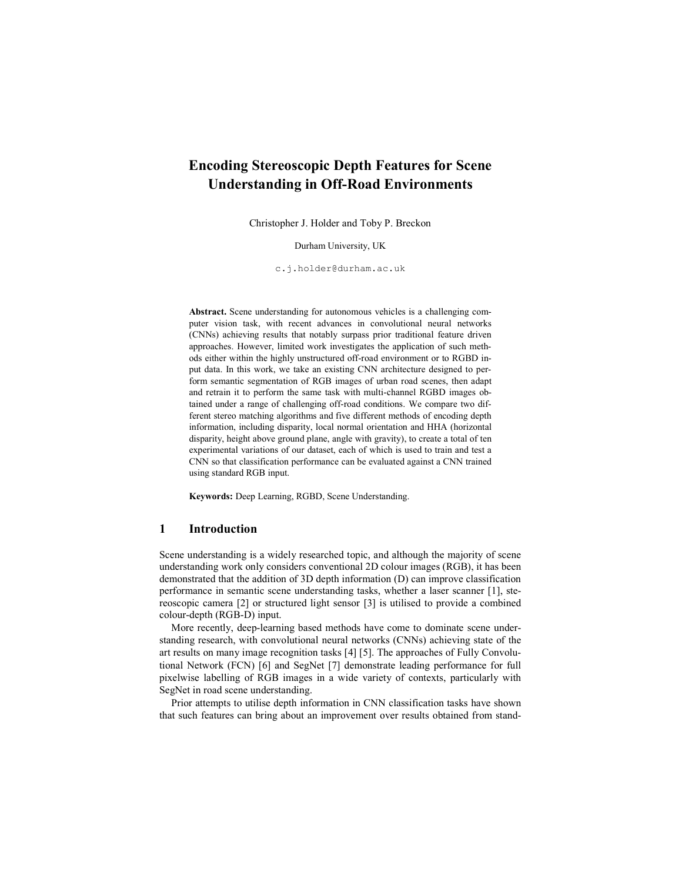# Encoding Stereoscopic Depth Features for Scene Understanding in Off-Road Environments

Christopher J. Holder and Toby P. Breckon

Durham University, UK

c.j.holder@durham.ac.uk

Abstract. Scene understanding for autonomous vehicles is a challenging computer vision task, with recent advances in convolutional neural networks (CNNs) achieving results that notably surpass prior traditional feature driven approaches. However, limited work investigates the application of such methods either within the highly unstructured off-road environment or to RGBD input data. In this work, we take an existing CNN architecture designed to perform semantic segmentation of RGB images of urban road scenes, then adapt and retrain it to perform the same task with multi-channel RGBD images obtained under a range of challenging off-road conditions. We compare two different stereo matching algorithms and five different methods of encoding depth information, including disparity, local normal orientation and HHA (horizontal disparity, height above ground plane, angle with gravity), to create a total of ten experimental variations of our dataset, each of which is used to train and test a CNN so that classification performance can be evaluated against a CNN trained using standard RGB input.

Keywords: Deep Learning, RGBD, Scene Understanding.

## 1 Introduction

Scene understanding is a widely researched topic, and although the majority of scene understanding work only considers conventional 2D colour images (RGB), it has been demonstrated that the addition of 3D depth information (D) can improve classification performance in semantic scene understanding tasks, whether a laser scanner [1], stereoscopic camera [2] or structured light sensor [3] is utilised to provide a combined colour-depth (RGB-D) input.

More recently, deep-learning based methods have come to dominate scene understanding research, with convolutional neural networks (CNNs) achieving state of the art results on many image recognition tasks [4] [5]. The approaches of Fully Convolutional Network (FCN) [6] and SegNet [7] demonstrate leading performance for full pixelwise labelling of RGB images in a wide variety of contexts, particularly with SegNet in road scene understanding.

Prior attempts to utilise depth information in CNN classification tasks have shown that such features can bring about an improvement over results obtained from stand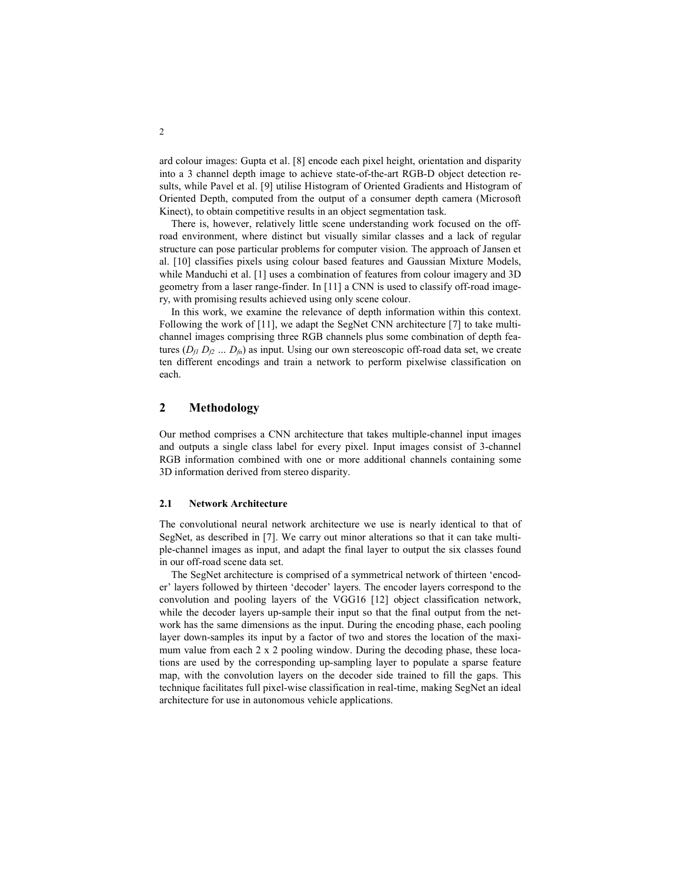ard colour images: Gupta et al. [8] encode each pixel height, orientation and disparity into a 3 channel depth image to achieve state-of-the-art RGB-D object detection results, while Pavel et al. [9] utilise Histogram of Oriented Gradients and Histogram of Oriented Depth, computed from the output of a consumer depth camera (Microsoft Kinect), to obtain competitive results in an object segmentation task.

There is, however, relatively little scene understanding work focused on the offroad environment, where distinct but visually similar classes and a lack of regular structure can pose particular problems for computer vision. The approach of Jansen et al. [10] classifies pixels using colour based features and Gaussian Mixture Models, while Manduchi et al. [1] uses a combination of features from colour imagery and 3D geometry from a laser range-finder. In [11] a CNN is used to classify off-road imagery, with promising results achieved using only scene colour.

In this work, we examine the relevance of depth information within this context. Following the work of [11], we adapt the SegNet CNN architecture [7] to take multichannel images comprising three RGB channels plus some combination of depth features ( $D_f$   $D_f$  ...  $D_f$ ) as input. Using our own stereoscopic off-road data set, we create ten different encodings and train a network to perform pixelwise classification on each.

# 2 Methodology

Our method comprises a CNN architecture that takes multiple-channel input images and outputs a single class label for every pixel. Input images consist of 3-channel RGB information combined with one or more additional channels containing some 3D information derived from stereo disparity.

#### 2.1 Network Architecture

The convolutional neural network architecture we use is nearly identical to that of SegNet, as described in [7]. We carry out minor alterations so that it can take multiple-channel images as input, and adapt the final layer to output the six classes found in our off-road scene data set.

The SegNet architecture is comprised of a symmetrical network of thirteen 'encoder' layers followed by thirteen 'decoder' layers. The encoder layers correspond to the convolution and pooling layers of the VGG16 [12] object classification network, while the decoder layers up-sample their input so that the final output from the network has the same dimensions as the input. During the encoding phase, each pooling layer down-samples its input by a factor of two and stores the location of the maximum value from each 2 x 2 pooling window. During the decoding phase, these locations are used by the corresponding up-sampling layer to populate a sparse feature map, with the convolution layers on the decoder side trained to fill the gaps. This technique facilitates full pixel-wise classification in real-time, making SegNet an ideal architecture for use in autonomous vehicle applications.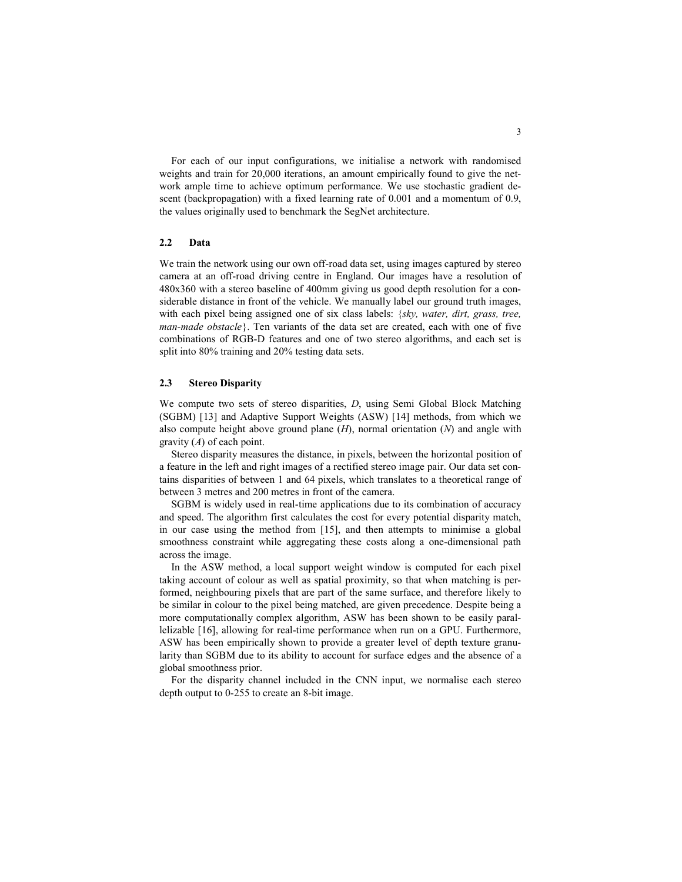For each of our input configurations, we initialise a network with randomised weights and train for 20,000 iterations, an amount empirically found to give the network ample time to achieve optimum performance. We use stochastic gradient descent (backpropagation) with a fixed learning rate of 0.001 and a momentum of 0.9, the values originally used to benchmark the SegNet architecture.

#### 2.2 Data

We train the network using our own off-road data set, using images captured by stereo camera at an off-road driving centre in England. Our images have a resolution of 480x360 with a stereo baseline of 400mm giving us good depth resolution for a considerable distance in front of the vehicle. We manually label our ground truth images, with each pixel being assigned one of six class labels:  $\{sky, water, dirt, grass, tree,$ man-made obstacle}. Ten variants of the data set are created, each with one of five combinations of RGB-D features and one of two stereo algorithms, and each set is split into 80% training and 20% testing data sets.

#### 2.3 Stereo Disparity

We compute two sets of stereo disparities, D, using Semi Global Block Matching (SGBM) [13] and Adaptive Support Weights (ASW) [14] methods, from which we also compute height above ground plane  $(H)$ , normal orientation  $(N)$  and angle with gravity  $(A)$  of each point.

Stereo disparity measures the distance, in pixels, between the horizontal position of a feature in the left and right images of a rectified stereo image pair. Our data set contains disparities of between 1 and 64 pixels, which translates to a theoretical range of between 3 metres and 200 metres in front of the camera.

SGBM is widely used in real-time applications due to its combination of accuracy and speed. The algorithm first calculates the cost for every potential disparity match, in our case using the method from [15], and then attempts to minimise a global smoothness constraint while aggregating these costs along a one-dimensional path across the image.

In the ASW method, a local support weight window is computed for each pixel taking account of colour as well as spatial proximity, so that when matching is performed, neighbouring pixels that are part of the same surface, and therefore likely to be similar in colour to the pixel being matched, are given precedence. Despite being a more computationally complex algorithm, ASW has been shown to be easily parallelizable [16], allowing for real-time performance when run on a GPU. Furthermore, ASW has been empirically shown to provide a greater level of depth texture granularity than SGBM due to its ability to account for surface edges and the absence of a global smoothness prior.

For the disparity channel included in the CNN input, we normalise each stereo depth output to 0-255 to create an 8-bit image.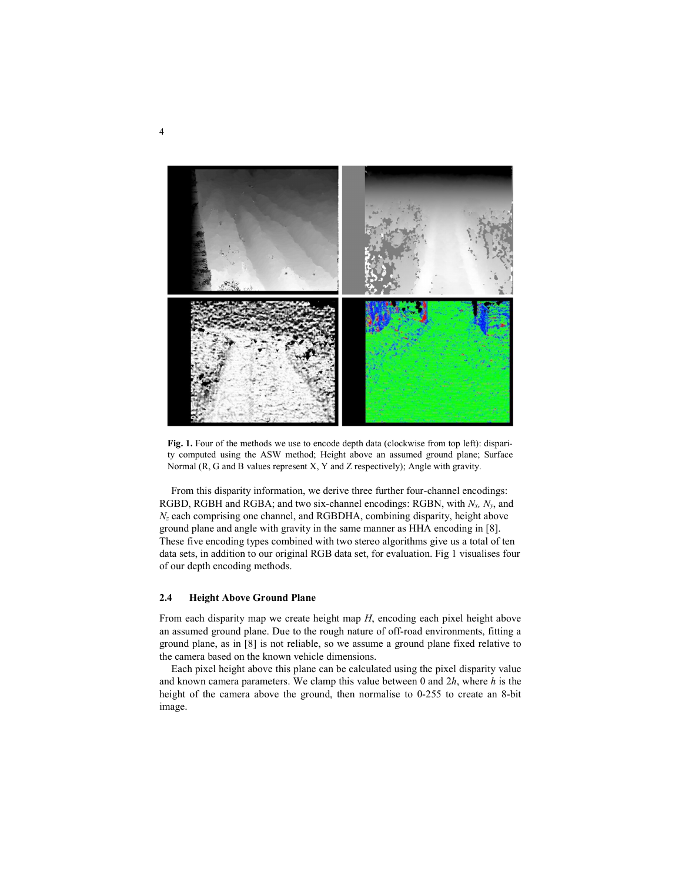

Fig. 1. Four of the methods we use to encode depth data (clockwise from top left): disparity computed using the ASW method; Height above an assumed ground plane; Surface Normal (R, G and B values represent X, Y and Z respectively); Angle with gravity.

From this disparity information, we derive three further four-channel encodings: RGBD, RGBH and RGBA; and two six-channel encodings: RGBN, with  $N_x$ ,  $N_y$ , and  $N_z$  each comprising one channel, and RGBDHA, combining disparity, height above ground plane and angle with gravity in the same manner as HHA encoding in [8]. These five encoding types combined with two stereo algorithms give us a total of ten data sets, in addition to our original RGB data set, for evaluation. Fig 1 visualises four of our depth encoding methods.

#### 2.4 Height Above Ground Plane

From each disparity map we create height map H, encoding each pixel height above an assumed ground plane. Due to the rough nature of off-road environments, fitting a ground plane, as in [8] is not reliable, so we assume a ground plane fixed relative to the camera based on the known vehicle dimensions.

Each pixel height above this plane can be calculated using the pixel disparity value and known camera parameters. We clamp this value between 0 and  $2h$ , where h is the height of the camera above the ground, then normalise to 0-255 to create an 8-bit image.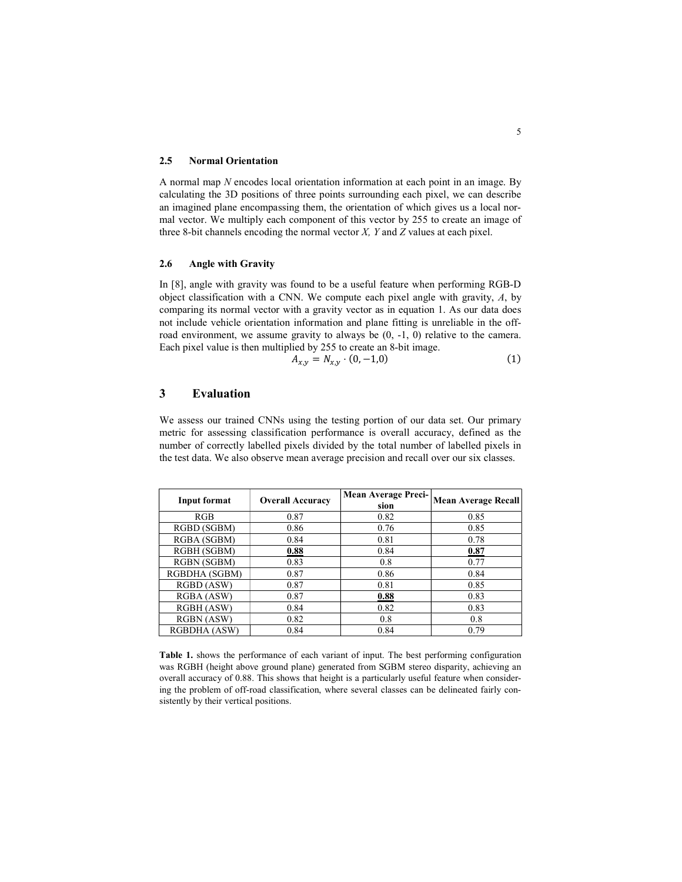#### 2.5 Normal Orientation

A normal map N encodes local orientation information at each point in an image. By calculating the 3D positions of three points surrounding each pixel, we can describe an imagined plane encompassing them, the orientation of which gives us a local normal vector. We multiply each component of this vector by 255 to create an image of three 8-bit channels encoding the normal vector  $X$ ,  $Y$  and  $Z$  values at each pixel.

### 2.6 Angle with Gravity

In [8], angle with gravity was found to be a useful feature when performing RGB-D object classification with a CNN. We compute each pixel angle with gravity,  $A$ , by comparing its normal vector with a gravity vector as in equation 1. As our data does not include vehicle orientation information and plane fitting is unreliable in the offroad environment, we assume gravity to always be  $(0, -1, 0)$  relative to the camera. Each pixel value is then multiplied by 255 to create an 8-bit image.

$$
A_{x,y} = N_{x,y} \cdot (0, -1,0) \tag{1}
$$

# 3 Evaluation

We assess our trained CNNs using the testing portion of our data set. Our primary metric for assessing classification performance is overall accuracy, defined as the number of correctly labelled pixels divided by the total number of labelled pixels in the test data. We also observe mean average precision and recall over our six classes.

| Input format      | <b>Overall Accuracy</b> | <b>Mean Average Preci-</b><br>sion | <b>Mean Average Recall</b> |
|-------------------|-------------------------|------------------------------------|----------------------------|
| RGB               | 0.87                    | 0.82                               | 0.85                       |
| RGBD (SGBM)       | 0.86                    | 0.76                               | 0.85                       |
| RGBA (SGBM)       | 0.84                    | 0.81                               | 0.78                       |
| RGBH (SGBM)       | 0.88                    | 0.84                               | 0.87                       |
| RGBN (SGBM)       | 0.83                    | 0.8                                | 0.77                       |
| RGBDHA (SGBM)     | 0.87                    | 0.86                               | 0.84                       |
| RGBD (ASW)        | 0.87                    | 0.81                               | 0.85                       |
| RGBA (ASW)        | 0.87                    | 0.88                               | 0.83                       |
| RGBH (ASW)        | 0.84                    | 0.82                               | 0.83                       |
| <b>RGBN</b> (ASW) | 0.82                    | 0.8                                | 0.8                        |
| RGBDHA (ASW)      | 0.84                    | 0.84                               | 0.79                       |

Table 1. shows the performance of each variant of input. The best performing configuration was RGBH (height above ground plane) generated from SGBM stereo disparity, achieving an overall accuracy of 0.88. This shows that height is a particularly useful feature when considering the problem of off-road classification, where several classes can be delineated fairly consistently by their vertical positions.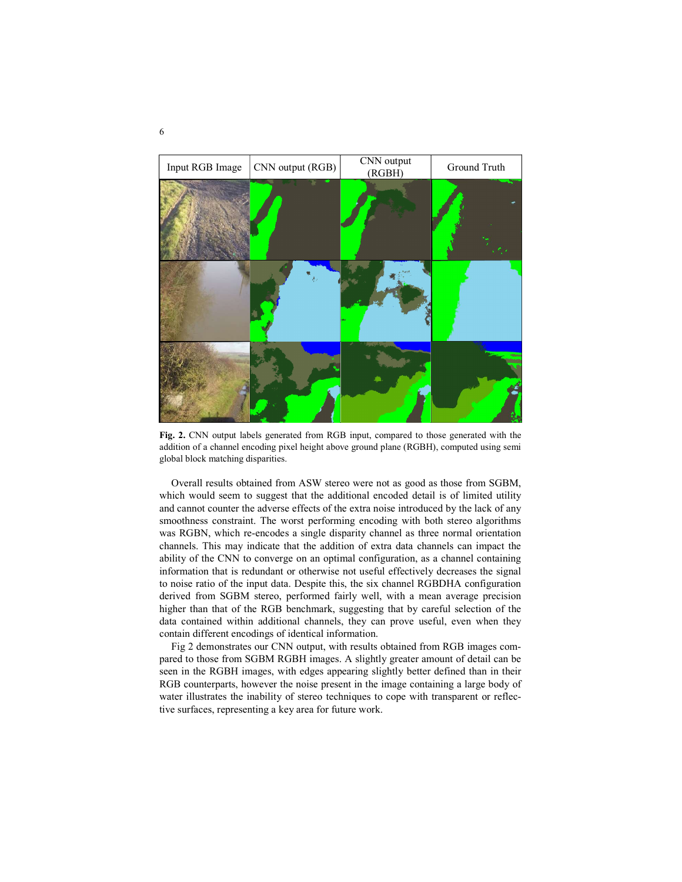

Fig. 2. CNN output labels generated from RGB input, compared to those generated with the addition of a channel encoding pixel height above ground plane (RGBH), computed using semi global block matching disparities.

Overall results obtained from ASW stereo were not as good as those from SGBM, which would seem to suggest that the additional encoded detail is of limited utility and cannot counter the adverse effects of the extra noise introduced by the lack of any smoothness constraint. The worst performing encoding with both stereo algorithms was RGBN, which re-encodes a single disparity channel as three normal orientation channels. This may indicate that the addition of extra data channels can impact the ability of the CNN to converge on an optimal configuration, as a channel containing information that is redundant or otherwise not useful effectively decreases the signal to noise ratio of the input data. Despite this, the six channel RGBDHA configuration derived from SGBM stereo, performed fairly well, with a mean average precision higher than that of the RGB benchmark, suggesting that by careful selection of the data contained within additional channels, they can prove useful, even when they contain different encodings of identical information.

Fig 2 demonstrates our CNN output, with results obtained from RGB images compared to those from SGBM RGBH images. A slightly greater amount of detail can be seen in the RGBH images, with edges appearing slightly better defined than in their RGB counterparts, however the noise present in the image containing a large body of water illustrates the inability of stereo techniques to cope with transparent or reflective surfaces, representing a key area for future work.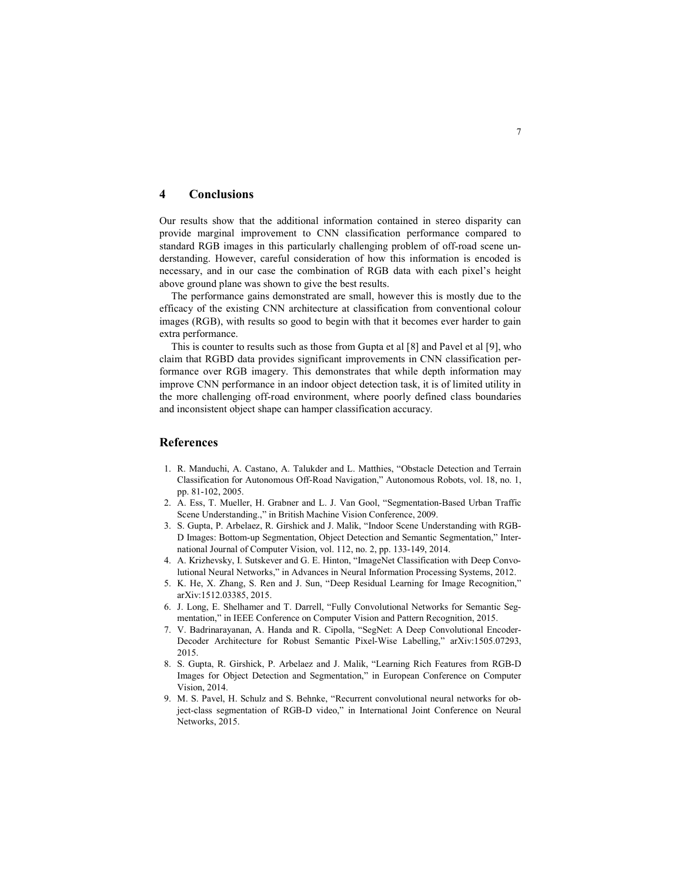## 4 Conclusions

Our results show that the additional information contained in stereo disparity can provide marginal improvement to CNN classification performance compared to standard RGB images in this particularly challenging problem of off-road scene understanding. However, careful consideration of how this information is encoded is necessary, and in our case the combination of RGB data with each pixel's height above ground plane was shown to give the best results.

The performance gains demonstrated are small, however this is mostly due to the efficacy of the existing CNN architecture at classification from conventional colour images (RGB), with results so good to begin with that it becomes ever harder to gain extra performance.

This is counter to results such as those from Gupta et al [8] and Pavel et al [9], who claim that RGBD data provides significant improvements in CNN classification performance over RGB imagery. This demonstrates that while depth information may improve CNN performance in an indoor object detection task, it is of limited utility in the more challenging off-road environment, where poorly defined class boundaries and inconsistent object shape can hamper classification accuracy.

### References

- 1. R. Manduchi, A. Castano, A. Talukder and L. Matthies, "Obstacle Detection and Terrain Classification for Autonomous Off-Road Navigation," Autonomous Robots, vol. 18, no. 1, pp. 81-102, 2005.
- 2. A. Ess, T. Mueller, H. Grabner and L. J. Van Gool, "Segmentation-Based Urban Traffic Scene Understanding.," in British Machine Vision Conference, 2009.
- 3. S. Gupta, P. Arbelaez, R. Girshick and J. Malik, "Indoor Scene Understanding with RGB-D Images: Bottom-up Segmentation, Object Detection and Semantic Segmentation," International Journal of Computer Vision, vol. 112, no. 2, pp. 133-149, 2014.
- 4. A. Krizhevsky, I. Sutskever and G. E. Hinton, "ImageNet Classification with Deep Convolutional Neural Networks," in Advances in Neural Information Processing Systems, 2012.
- 5. K. He, X. Zhang, S. Ren and J. Sun, "Deep Residual Learning for Image Recognition," arXiv:1512.03385, 2015.
- 6. J. Long, E. Shelhamer and T. Darrell, "Fully Convolutional Networks for Semantic Segmentation," in IEEE Conference on Computer Vision and Pattern Recognition, 2015.
- 7. V. Badrinarayanan, A. Handa and R. Cipolla, "SegNet: A Deep Convolutional Encoder-Decoder Architecture for Robust Semantic Pixel-Wise Labelling," arXiv:1505.07293, 2015.
- 8. S. Gupta, R. Girshick, P. Arbelaez and J. Malik, "Learning Rich Features from RGB-D Images for Object Detection and Segmentation," in European Conference on Computer Vision, 2014.
- 9. M. S. Pavel, H. Schulz and S. Behnke, "Recurrent convolutional neural networks for object-class segmentation of RGB-D video," in International Joint Conference on Neural Networks, 2015.